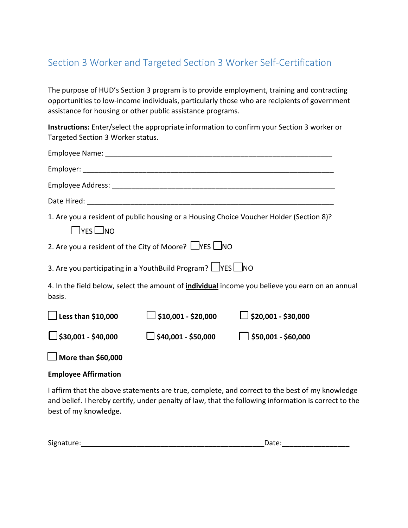## Section 3 Worker and Targeted Section 3 Worker Self-Certification

The purpose of HUD's Section 3 program is to provide employment, training and contracting opportunities to low-income individuals, particularly those who are recipients of government assistance for housing or other public assistance programs.

**Instructions:** Enter/select the appropriate information to confirm your Section 3 worker or Targeted Section 3 Worker status.

| $\Box$ yes $\Box$ no                                                                                             |                            | 1. Are you a resident of public housing or a Housing Choice Voucher Holder (Section 8)? |  |
|------------------------------------------------------------------------------------------------------------------|----------------------------|-----------------------------------------------------------------------------------------|--|
| 2. Are you a resident of the City of Moore? $\Box$ YES $\Box$ NO                                                 |                            |                                                                                         |  |
| 3. Are you participating in a YouthBuild Program? $\Box$ YES $\Box$ NO                                           |                            |                                                                                         |  |
| 4. In the field below, select the amount of <i>individual</i> income you believe you earn on an annual<br>basis. |                            |                                                                                         |  |
| $\Box$ Less than \$10,000                                                                                        | $\Box$ \$10,001 - \$20,000 | $\Box$ \$20,001 - \$30,000                                                              |  |
| $\Box$ \$30,001 - \$40,000                                                                                       | $\Box$ \$40,001 - \$50,000 | $\Box$ \$50,001 - \$60,000                                                              |  |
| $\Box$ More than \$60,000                                                                                        |                            |                                                                                         |  |

## **Employee Affirmation**

I affirm that the above statements are true, complete, and correct to the best of my knowledge and belief. I hereby certify, under penalty of law, that the following information is correct to the best of my knowledge.

| $\overline{\phantom{a}}$<br>ure.<br>Sigr<br>$\overline{ }$<br><u>.</u> | .<br>. .<br>wucc. |
|------------------------------------------------------------------------|-------------------|
|                                                                        |                   |